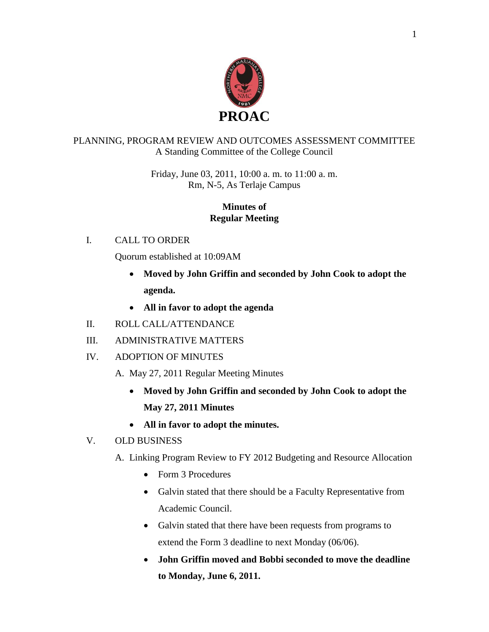

# PLANNING, PROGRAM REVIEW AND OUTCOMES ASSESSMENT COMMITTEE A Standing Committee of the College Council

Friday, June 03, 2011, 10:00 a. m. to 11:00 a. m. Rm, N-5, As Terlaje Campus

### **Minutes of Regular Meeting**

# I. CALL TO ORDER

Quorum established at 10:09AM

- **Moved by John Griffin and seconded by John Cook to adopt the agenda.**
- **All in favor to adopt the agenda**
- II. ROLL CALL/ATTENDANCE
- III. ADMINISTRATIVE MATTERS
- IV. ADOPTION OF MINUTES
	- A. May 27, 2011 Regular Meeting Minutes
		- **Moved by John Griffin and seconded by John Cook to adopt the May 27, 2011 Minutes**
		- **All in favor to adopt the minutes.**

### V. OLD BUSINESS

- A. Linking Program Review to FY 2012 Budgeting and Resource Allocation
	- Form 3 Procedures
	- Galvin stated that there should be a Faculty Representative from Academic Council.
	- Galvin stated that there have been requests from programs to extend the Form 3 deadline to next Monday (06/06).
	- **John Griffin moved and Bobbi seconded to move the deadline to Monday, June 6, 2011.**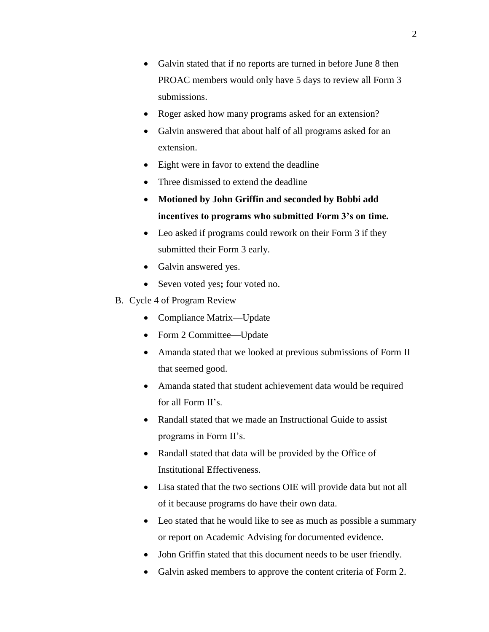- Galvin stated that if no reports are turned in before June 8 then PROAC members would only have 5 days to review all Form 3 submissions.
- Roger asked how many programs asked for an extension?
- Galvin answered that about half of all programs asked for an extension.
- Eight were in favor to extend the deadline
- Three dismissed to extend the deadline
- **Motioned by John Griffin and seconded by Bobbi add incentives to programs who submitted Form 3's on time.**
- Leo asked if programs could rework on their Form 3 if they submitted their Form 3 early.
- Galvin answered yes.
- Seven voted yes; four voted no.
- B. Cycle 4 of Program Review
	- Compliance Matrix—Update
	- Form 2 Committee—Update
	- Amanda stated that we looked at previous submissions of Form II that seemed good.
	- Amanda stated that student achievement data would be required for all Form II's.
	- Randall stated that we made an Instructional Guide to assist programs in Form II's.
	- Randall stated that data will be provided by the Office of Institutional Effectiveness.
	- Lisa stated that the two sections OIE will provide data but not all of it because programs do have their own data.
	- Leo stated that he would like to see as much as possible a summary or report on Academic Advising for documented evidence.
	- John Griffin stated that this document needs to be user friendly.
	- Galvin asked members to approve the content criteria of Form 2.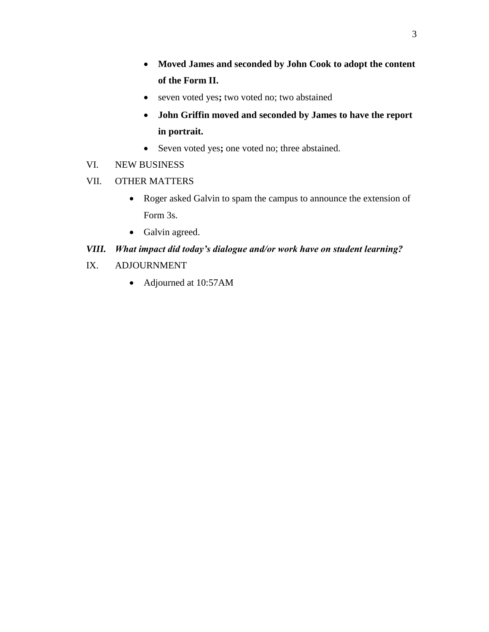- **Moved James and seconded by John Cook to adopt the content of the Form II.**
- seven voted yes**;** two voted no; two abstained
- **John Griffin moved and seconded by James to have the report in portrait.**
- Seven voted yes**;** one voted no; three abstained.
- VI. NEW BUSINESS
- VII. OTHER MATTERS
	- Roger asked Galvin to spam the campus to announce the extension of Form 3s.
	- Galvin agreed.

# *VIII. What impact did today's dialogue and/or work have on student learning?*

- IX. ADJOURNMENT
	- Adjourned at 10:57AM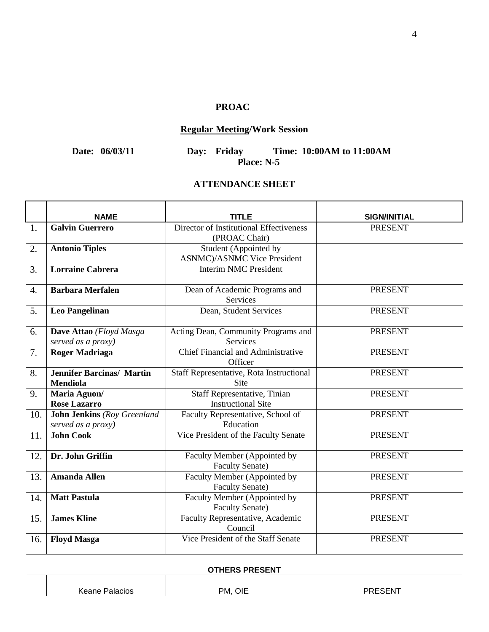# **PROAC**

# **Regular Meeting/Work Session**

**Date: 06/03/11 Day: Friday Time: 10:00AM to 11:00AM** Day: Friday Times Place: N-5

#### **ATTENDANCE SHEET**

|                       | NAME                                                     | TITLE                                                        | <b>SIGN/INITIAL</b> |  |
|-----------------------|----------------------------------------------------------|--------------------------------------------------------------|---------------------|--|
| 1.                    | <b>Galvin Guerrero</b>                                   | Director of Institutional Effectiveness<br>(PROAC Chair)     | <b>PRESENT</b>      |  |
| 2.                    | <b>Antonio Tiples</b>                                    | Student (Appointed by<br><b>ASNMC</b> )/ASNMC Vice President |                     |  |
| 3.                    | <b>Lorraine Cabrera</b>                                  | <b>Interim NMC President</b>                                 |                     |  |
| 4.                    | <b>Barbara Merfalen</b>                                  | Dean of Academic Programs and<br><b>Services</b>             | <b>PRESENT</b>      |  |
| 5.                    | <b>Leo Pangelinan</b>                                    | Dean, Student Services                                       | <b>PRESENT</b>      |  |
| 6.                    | Dave Attao (Floyd Masga<br>served as a proxy)            | Acting Dean, Community Programs and<br>Services              | <b>PRESENT</b>      |  |
| 7.                    | <b>Roger Madriaga</b>                                    | <b>Chief Financial and Administrative</b><br>Officer         | <b>PRESENT</b>      |  |
| 8.                    | <b>Jennifer Barcinas/ Martin</b><br><b>Mendiola</b>      | Staff Representative, Rota Instructional<br><b>Site</b>      | <b>PRESENT</b>      |  |
| 9.                    | Maria Aguon/<br><b>Rose Lazarro</b>                      | Staff Representative, Tinian<br><b>Instructional Site</b>    | <b>PRESENT</b>      |  |
| 10.                   | <b>John Jenkins</b> (Roy Greenland<br>served as a proxy) | Faculty Representative, School of<br>Education               | <b>PRESENT</b>      |  |
| 11.                   | <b>John Cook</b>                                         | Vice President of the Faculty Senate                         | <b>PRESENT</b>      |  |
| 12.                   | Dr. John Griffin                                         | Faculty Member (Appointed by<br><b>Faculty Senate)</b>       | <b>PRESENT</b>      |  |
| 13.                   | <b>Amanda Allen</b>                                      | Faculty Member (Appointed by<br><b>Faculty Senate)</b>       | <b>PRESENT</b>      |  |
| 14.                   | <b>Matt Pastula</b>                                      | Faculty Member (Appointed by<br><b>Faculty Senate)</b>       | <b>PRESENT</b>      |  |
| 15.                   | <b>James Kline</b>                                       | Faculty Representative, Academic<br>Council                  | <b>PRESENT</b>      |  |
| 16.                   | <b>Floyd Masga</b>                                       | Vice President of the Staff Senate                           | <b>PRESENT</b>      |  |
| <b>OTHERS PRESENT</b> |                                                          |                                                              |                     |  |
|                       | <b>Keane Palacios</b>                                    | PM, OIE                                                      | <b>PRESENT</b>      |  |